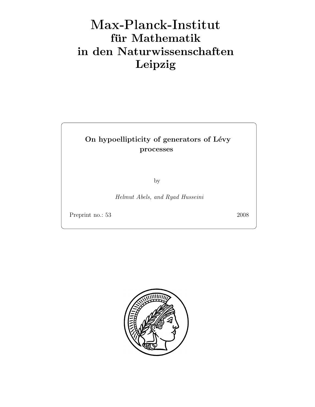# Max-Plan
k-Institut für Mathematik in den Naturwissenschaften Leipzig

## On hypoellipticity of generators of Lévy processes

by

Helmut Abels, and Ryad Husseini

Preprint no.: 53 2008

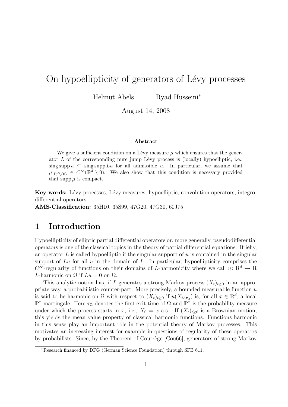## On hypoellipticity of generators of Lévy processes

Helmut Abels Ryad Husseini<sup>∗</sup>

August 14, 2008

#### Abstract

We give a sufficient condition on a Lévy measure  $\mu$  which ensures that the generator  $L$  of the corresponding pure jump Lévy process is (locally) hypoelliptic, i.e., sing supp  $u \subseteq \text{sing supp } Lu$  for all admissible u. In particular, we assume that  $\mu|_{\mathbb{R}^d\setminus\{0\}} \in C^\infty(\mathbb{R}^d\setminus\{0\})$ . We also show that this condition is necessary provided that supp  $\mu$  is compact.

Key words: Lévy processes, Lévy measures, hypoelliptic, convolution operators, integrodifferential operators

AMS-Classification: 35H10, 35S99, 47G20, 47G30, 60J75

#### 1 Introduction

Hypoellipticity of elliptic partial differential operators or, more generally, pseudodifferential operators is one of the classical topics in the theory of partial differential equations. Briefly, an operator  $L$  is called hypoelliptic if the singular support of  $u$  is contained in the singular support of  $Lu$  for all  $u$  in the domain of  $L$ . In particular, hypoellipticity comprises the  $C^{\infty}$ -regularity of functions on their domains of L-harmonicity where we call  $u: \mathbb{R}^{d} \to \mathbb{R}$ L-harmonic on  $\Omega$  if  $Lu = 0$  on  $\Omega$ .

This analytic notion has, if L generates a strong Markov process  $(X_t)_{t\geq0}$  in an appropriate way, a probabilistic counter-part. More precisely, a bounded measurable function  $u$ is said to be harmonic on  $\Omega$  with respect to  $(X_t)_{t\geq0}$  if  $u(X_{t\wedge\tau_{\Omega}})$  is, for all  $x\in\mathbb{R}^d$ , a local  $\mathbb{P}^x$ -martingale. Here  $\tau_{\Omega}$  denotes the first exit time of  $\Omega$  and  $\mathbb{P}^x$  is the probability measure under which the process starts in x, i.e.,  $X_0 = x$  a.s.. If  $(X_t)_{t>0}$  is a Brownian motion, this yields the mean value property of classical harmonic functions. Functions harmonic in this sense play an important role in the potential theory of Markov processes. This motivates an increasing interest for example in questions of regularity of these operators by probabilists. Since, by the Theorem of Courrège [Cou66], generators of strong Markov

<sup>∗</sup>Research financed by DFG (German Science Foundation) through SFB 611.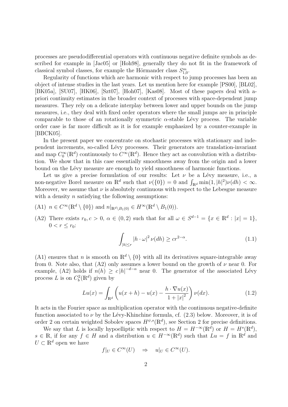processes are pseudodifferential operators with continuous negative definite symbols as described for example in [Jac05] or [Hoh98], generally they do not fit in the framework of classical symbol classes, for example the Hörmander class  $S_{1,0}^m$ .

Regularity of functions which are harmonic with respect to jump processes has been an object of intense studies in the last years. Let us mention here for example [PS00], [BL02], [BK05a], [SU07], [HK06], [Szt07], [Hoh07], [Kas08]. Most of these papers deal with apriori continuity estimates in the broader context of processes with space-dependent jump measures. They rely on a delicate interplay between lower and upper bounds on the jump measures, i.e., they deal with fixed order operators where the small jumps are in principle comparable to those of an rotationally symmetric  $\alpha$ -stable Lévy process. The variable order case is far more difficult as it is for example emphasized by a counter-example in [BBCK05].

In the present paper we concentrate on stochastic processes with stationary and independent increments, so-called Lévy processes. Their generators are translation-invariant and map  $C_0^{\infty}(\mathbb{R}^d)$  continuously to  $C^{\infty}(\mathbb{R}^d)$ . Hence they act as convolution with a distribution. We show that in this case essentially smoothness away from the origin and a lower bound on the Lévy measure are enough to yield smoothness of harmonic functions.

Let us give a precise formulation of our results: Let  $\nu$  be a Lévy measure, i.e., a non-negative Borel measure on  $\mathbb{R}^d$  such that  $\nu({0}) = 0$  and  $\int_{\mathbb{R}^d} \min(1, |h|^2) \nu(dh) < \infty$ . Moreover, we assume that  $\nu$  is absolutely continuous with respect to the Lebesgue measure with a density  $n$  satisfying the following assumptions:

- (A1)  $n \in C^{\infty}(\mathbb{R}^d \setminus \{0\})$  and  $n|_{\mathbb{R}^d \setminus B_1(0)} \in H^{\infty}(\mathbb{R}^d \setminus B_1(0)).$
- (A2) There exists  $r_0, c > 0, \alpha \in (0, 2)$  such that for all  $\omega \in S^{d-1} = \{x \in \mathbb{R}^d : |x| = 1\},\$  $0 < r \le r_0$ :

$$
\int_{|h| \le r} |h \cdot \omega|^2 \, \nu(dh) \ge cr^{2-\alpha}.\tag{1.1}
$$

(A1) ensures that n is smooth on  $\mathbb{R}^d \setminus \{0\}$  with all its derivatives square-integrable away from 0. Note also, that (A2) only assumes a lower bound on the growth of  $\nu$  near 0. For example, (A2) holds if  $n(h) \geq c |h|^{-d-\alpha}$  near 0. The generator of the associated Lévy process L is on  $C_b^2(\mathbb{R}^d)$  given by

$$
Lu(x) = \int_{\mathbb{R}^d} \left( u(x+h) - u(x) - \frac{h \cdot \nabla u(x)}{1 + |x|^2} \right) \nu(dx).
$$
 (1.2)

It acts in the Fourier space as multiplication operator with the continuous negative-definite function associated to  $\nu$  by the Lévy-Khinchine formula, cf. (2.3) below. Moreover, it is of order 2 on certain weighted Sobolev spaces  $H^{\psi,s}(\mathbb{R}^d)$ , see Section 2 for precise definitions.

We say that L is locally hypoelliptic with respect to  $H = H^{-\infty}(\mathbb{R}^d)$  or  $H = H^s(\mathbb{R}^d)$ ,  $s \in \mathbb{R}$ , if for any  $f \in H$  and a distribution  $u \in H^{-\infty}(\mathbb{R}^d)$  such that  $Lu = f$  in  $\mathbb{R}^d$  and  $U \subset \mathbb{R}^d$  open we have

$$
f|_U \in C^{\infty}(U) \quad \Rightarrow \quad u|_U \in C^{\infty}(U).
$$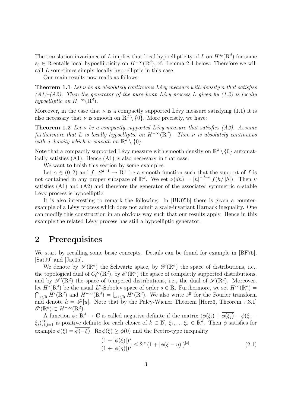The translation invariance of L implies that local hypoellipticity of L on  $H^{s_0}(\mathbb{R}^d)$  for some  $s_0 \in \mathbb{R}$  entails local hypoellipticity on  $H^{-\infty}(\mathbb{R}^d)$ , cf. Lemma 2.4 below. Therefore we will call L sometimes simply locally hypoelliptic in this case.

Our main results now reads as follows:

**Theorem 1.1** Let  $\nu$  be an absolutely continuous Lévy measure with density n that satisfies  $(A1)$ – $(A2)$ . Then the generator of the pure-jump Lévy process L given by (1.2) is locally hypoelliptic on  $H^{-\infty}(\mathbb{R}^d)$ .

Moreover, in the case that  $\nu$  is a compactly supported Lévy measure satisfying (1.1) it is also necessary that  $\nu$  is smooth on  $\mathbb{R}^d \setminus \{0\}$ . More precisely, we have:

**Theorem 1.2** Let  $\nu$  be a compactly supported Lévy measure that satisfies (A2). Assume furthermore that L is locally hypoelliptic on  $H^{-\infty}(\mathbb{R}^d)$ . Then  $\nu$  is absolutely continuous with a density which is smooth on  $\mathbb{R}^d \setminus \{0\}$ .

Note that a compactly supported Lévy measure with smooth density on  $\mathbb{R}^d \setminus \{0\}$  automatically satisfies (A1). Hence (A1) is also necessary in that case.

We want to finish this section by some examples.

Let  $\alpha \in (0,2)$  and  $f: S^{d-1} \to \mathbb{R}^+$  be a smooth function such that the support of f is not contained in any proper subspace of  $\mathbb{R}^d$ . We set  $\nu(dh) = |h|^{-d-\alpha} f(h/|h|)$ . Then  $\nu$ satisfies (A1) and (A2) and therefore the generator of the associated symmetric  $\alpha$ -stable Lévy process is hypoelliptic.

It is also interesting to remark the following: In [BK05b] there is given a counterexample of a Lévy process which does not admit a scale-invariant Harnack inequality. One can modify this construction in an obvious way such that our results apply. Hence in this example the related Lévy process has still a hypoelliptic generator.

#### 2 Prerequisites

We start by recalling some basic concepts. Details can be found for example in [BF75], [Sat99] and [Jac05].

We denote by  $\mathscr{S}(\mathbb{R}^d)$  the Schwartz space, by  $\mathscr{D}'(\mathbb{R}^d)$  the space of distributions, i.e., the topological dual of  $C_0^{\infty}(\mathbb{R}^d)$ , by  $\mathscr{E}'(\mathbb{R}^d)$  the space of compactly supported distributions, and by  $\mathscr{S}'(\mathbb{R}^d)$  the space of tempered distributions, i.e., the dual of  $\mathscr{S}(\mathbb{R}^d)$ . Moreover, let  $H^s(\mathbb{R}^d)$  be the usual  $L^2$ -Sobolev space of order  $s \in \mathbb{R}$ . Furthermore, we set  $H^{\infty}(\mathbb{R}^d)$  $\bigcap_{s\in\mathbb{R}} H^s(\mathbb{R}^d)$  and  $H^{-\infty}(\mathbb{R}^d) = \bigcup_{s\in\mathbb{R}} H^s(\mathbb{R}^d)$ . We also write  $\mathscr{F}$  for the Fourier transform and denote  $\hat{u} = \mathscr{F}[u]$ . Note that by the Paley-Wiener Theorem [Hör83, Theorem 7.3.1]  $\mathscr{E}'(\mathbb{R}^d) \subset H^{-\infty}(\mathbb{R}^d).$ 

A function  $\phi: \mathbb{R}^d \to \mathbb{C}$  is called negative definite if the matrix  $(\phi(\xi_i) + \overline{\phi(\xi_j)} - \phi(\xi_i - \xi_j))$  $(\xi_j)_{i,j=1}^k$  is positive definite for each choice of  $k \in \mathbb{N}$ ,  $\xi_1, \ldots \xi_k \in \mathbb{R}^d$ . Then  $\phi$  satisfies for example  $\phi(\xi) = \overline{\phi(-\xi)}$ , Re  $\phi(\xi) \ge \phi(0)$  and the Peetre-type inequality

$$
\frac{(1+|\phi(\xi)|)^s}{(1+|\phi(\eta)|)^s} \le 2^{|s|}(1+|\phi(\xi-\eta)|)^{|s|}.
$$
\n(2.1)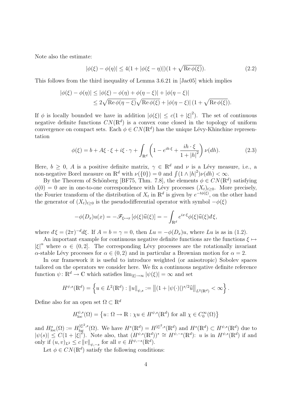Note also the estimate:

$$
|\phi(\xi) - \phi(\eta)| \le 4(1 + |\phi(\xi - \eta)|)(1 + \sqrt{\text{Re}\,\phi(\xi)}).
$$
 (2.2)

This follows from the third inequality of Lemma 3.6.21 in [Jac05] which implies

$$
|\phi(\xi) - \phi(\eta)| \le |\phi(\xi) - \phi(\eta) + \phi(\eta - \xi)| + |\phi(\eta - \xi)|
$$
  

$$
\le 2\sqrt{\text{Re}\,\phi(\eta - \xi)}\sqrt{\text{Re}\,\phi(\xi)} + |\phi(\eta - \xi)| (1 + \sqrt{\text{Re}\,\phi(\xi)}).
$$

If  $\phi$  is locally bounded we have in addition  $|\phi(\xi)| \leq c(1+|\xi|^2)$ . The set of continuous negative definite functions  $CN(\mathbb{R}^d)$  is a convex cone closed in the topology of uniform convergence on compact sets. Each  $\phi \in CN(\mathbb{R}^d)$  has the unique Lévy-Khinchine representation

$$
\phi(\xi) = b + A\xi \cdot \xi + i\xi \cdot \gamma + \int_{\mathbb{R}^d} \left( 1 - e^{ih \cdot \xi} + \frac{ih \cdot \xi}{1 + |h|^2} \right) \nu(dh).
$$
 (2.3)

Here,  $b > 0$ , A is a positive definite matrix,  $\gamma \in \mathbb{R}^d$  and  $\nu$  is a Lévy measure, i.e., a non-negative Borel measure on  $\mathbb{R}^d$  with  $\nu({0}) = 0$  and  $\int (1 \wedge |h|^2) \nu(dh) < \infty$ .

By the Theorem of Schönberg [BF75, Thm. 7.8], the elements  $\phi \in CN(\mathbb{R}^d)$  satisfying  $\phi(0) = 0$  are in one-to-one correspondence with Lévy processes  $(X_t)_{t>0}$ . More precisely, the Fourier transform of the distribution of  $X_t$  in  $\mathbb{R}^d$  is given by  $e^{-t\phi(\xi)}$ , on the other hand the generator of  $(X_t)_{t\geq0}$  is the pseudodifferential operator with symbol  $-\phi(\xi)$ 

$$
-\phi(D_x)u(x) = -\mathscr{F}_{\xi \mapsto x}[\phi(\xi)\widehat{u}(\xi)] = -\int_{\mathbb{R}^d} e^{ix\cdot\xi} \phi(\xi)\widehat{u}(\xi) d\xi,
$$

where  $d\xi = (2\pi)^{-d}d\xi$ . If  $A = b = \gamma = 0$ , then  $Lu = -\phi(D_x)u$ , where Lu is as in (1.2).

An important example for continuous negative definite functions are the functions  $\xi \mapsto$  $|\xi|^{\alpha}$  where  $\alpha \in (0, 2]$ . The corresponding Lévy processes are the rotationally invariant  $\alpha$ -stable Lévy processes for  $\alpha \in (0, 2)$  and in particular a Brownian motion for  $\alpha = 2$ .

In our framework it is useful to introduce weighted (or anisotropic) Sobolev spaces tailored on the operators we consider here. We fix a continuous negative definite reference function  $\psi: \mathbb{R}^d \to \mathbb{C}$  which satisfies  $\lim_{|\xi| \to \infty} |\psi(\xi)| = \infty$  and set

$$
H^{\psi,s}(\mathbb{R}^d) = \left\{ u \in L^2(\mathbb{R}^d) : ||u||_{\psi,s} := \left\| (1 + |\psi(\cdot)|)^{s/2} \widehat{u} \right\|_{L^2(\mathbb{R}^d)} < \infty \right\}.
$$

Define also for an open set  $\Omega \subset \mathbb{R}^d$ 

$$
H_{\text{loc}}^{\psi,s}(\Omega) = \left\{ u \colon \Omega \to \mathbb{R} : \chi u \in H^{\psi,s}(\mathbb{R}^d) \text{ for all } \chi \in C_0^{\infty}(\Omega) \right\}
$$

and  $H^s_{\text{loc}}(\Omega) := H^{\lvert \xi \rvert^2, s}_{\text{loc}}(\Omega)$ . We have  $H^s(\mathbb{R}^d) = H^{\lvert \xi \rvert^2, s}(\mathbb{R}^d)$  and  $H^s(\mathbb{R}^d) \subset H^{\psi, s}(\mathbb{R}^d)$  due to  $|\psi(s)| \leq C(1+|\xi|^2)$ . Note also, that  $(H^{\psi,s}(\mathbb{R}^d))^* \cong H^{\psi,-s}(\mathbb{R}^d)$ : u is in  $H^{\psi,s}(\mathbb{R}^d)$  if and only if  $(u, v)_{L^2} \le c ||v||_{\psi, -s}$  for all  $v \in H^{\psi, -s}(\mathbb{R}^d)$ .

Let  $\phi \in CN(\mathbb{R}^d)$  satisfy the following conditions: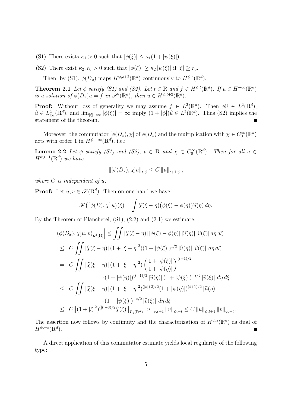- (S1) There exists  $\kappa_1 > 0$  such that  $|\phi(\xi)| \leq \kappa_1(1 + |\psi(\xi)|)$ .
- (S2) There exist  $\kappa_2$ ,  $r_0 > 0$  such that  $|\phi(\xi)| \geq \kappa_2 |\psi(\xi)|$  if  $|\xi| \geq r_0$ .

Then, by (S1),  $\phi(D_x)$  maps  $H^{\psi,s+2}(\mathbb{R}^d)$  continuously to  $H^{\psi,s}(\mathbb{R}^d)$ .

**Theorem 2.1** Let  $\phi$  satisfy (S1) and (S2). Let  $t \in \mathbb{R}$  and  $f \in H^{\psi,t}(\mathbb{R}^d)$ . If  $u \in H^{-\infty}(\mathbb{R}^d)$ is a solution of  $\phi(D_x)u = f$  in  $\mathscr{S}'(\mathbb{R}^d)$ , then  $u \in H^{\psi,t+2}(\mathbb{R}^d)$ .

**Proof:** Without loss of generality we may assume  $f \in L^2(\mathbb{R}^d)$ . Then  $\phi \hat{u} \in L^2(\mathbb{R}^d)$ ,  $\hat{u} \in L^2(\mathbb{R}^d)$  $\widehat{u} \in L^2_{loc}(\mathbb{R}^d)$ , and  $\lim_{|\xi| \to \infty} |\phi(\xi)| = \infty$  imply  $(1 + |\phi|)\widehat{u} \in L^2(\mathbb{R}^d)$ . Thus (S2) implies the statement of the theorem.

Moreover, the commutator  $[\phi(D_x), \chi]$  of  $\phi(D_x)$  and the multiplication with  $\chi \in C_0^{\infty}(\mathbb{R}^d)$ acts with order 1 in  $H^{\psi,-\infty}(\mathbb{R}^d)$ , i.e.:

**Lemma 2.2** Let  $\phi$  satisfy (S1) and (S2),  $t \in \mathbb{R}$  and  $\chi \in C_0^{\infty}(\mathbb{R}^d)$ . Then for all  $u \in$  $H^{\psi,t+1}(\mathbb{R}^d)$  we have

$$
\|[\phi(D_x), \chi]u\|_{t,\psi} \leq C \|u\|_{t+1,\psi},
$$

where  $C$  is independent of  $u$ .

**Proof:** Let  $u, v \in \mathcal{S}(\mathbb{R}^d)$ . Then on one hand we have

$$
\mathscr{F}\big(\big[\phi(D),\chi\big]u\big)(\xi) = \int \widehat{\chi}(\xi-\eta)\big(\phi(\xi)-\phi(\eta)\big)\widehat{u}(\eta)\,d\eta.
$$

By the Theorem of Plancherel,  $(S1)$ ,  $(2.2)$  and  $(2.1)$  we estimate:

$$
\left| (\phi(D_x), \chi]u, v)_{L^2(\Omega)} \right| \leq \iint \left| \hat{\chi}(\xi - \eta) \right| |\phi(\xi) - \phi(\eta)| |\hat{u}(\eta)| |\hat{v}(\xi)| d\eta d\xi
$$
  
\n
$$
\leq C \iint \left| \hat{\chi}(\xi - \eta) \right| (1 + |\xi - \eta|^2) (1 + |\psi(\xi)|)^{1/2} |\hat{u}(\eta)| |\hat{v}(\xi)| d\eta d\xi
$$
  
\n
$$
= C \iint \left| \hat{\chi}(\xi - \eta) \right| (1 + |\xi - \eta|^2) \left( \frac{1 + |\psi(\xi)|}{1 + |\psi(\eta)|} \right)^{(t+1)/2}
$$
  
\n
$$
\cdot (1 + |\psi(\eta)|)^{(t+1)/2} |\hat{u}(\eta)| (1 + |\psi(\xi)|)^{-t/2} |\hat{v}(\xi)| d\eta d\xi
$$
  
\n
$$
\leq C \iint \left| \hat{\chi}(\xi - \eta) \right| (1 + |\xi - \eta|^2)^{(|t|+3)/2} (1 + |\psi(\eta)|)^{(t+1)/2} |\hat{u}(\eta)|
$$
  
\n
$$
\cdot (1 + |\psi(\xi)|)^{-t/2} |\hat{v}(\xi)| d\eta d\xi
$$
  
\n
$$
\leq C \left| | (1 + |\xi|^2)^{(|t|+3)/2} \hat{\chi}(\xi) \right|_{L_1(\mathbb{R}^d)} \|u\|_{\psi, t+1} \|v\|_{\psi, -t} \leq C \|u\|_{\psi, t+1} \|v\|_{\psi, -t}.
$$

The assertion now follows by continuity and the characterization of  $H^{\psi,s}(\mathbb{R}^d)$  as dual of  $H^{\psi,-s}(\mathbb{R}^d)$ .

A direct application of this commutator estimate yields local regularity of the following type: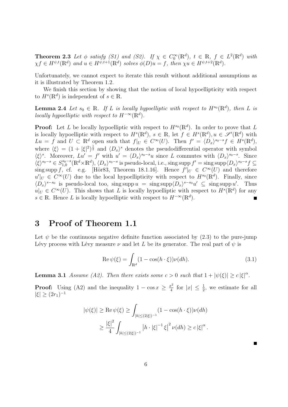**Theorem 2.3** Let  $\phi$  satisfy (S1) and (S2). If  $\chi \in C_0^{\infty}(\mathbb{R}^d)$ ,  $t \in \mathbb{R}$ ,  $f \in L^2(\mathbb{R}^d)$  with  $\chi f \in H^{\psi,t}(\mathbb{R}^d)$  and  $u \in H^{\psi,t+1}(\mathbb{R}^d)$  solves  $\phi(D)u = f$ , then  $\chi u \in H^{\psi,t+2}(\mathbb{R}^d)$ .

Unfortunately, we cannot expect to iterate this result without additional assumptions as it is illustrated by Theorem 1.2.

We finish this section by showing that the notion of local hypoellipticity with respect to  $H^s(\mathbb{R}^d)$  is independent of  $s \in \mathbb{R}$ .

**Lemma 2.4** Let  $s_0 \in \mathbb{R}$ . If L is locally hypoelliptic with respect to  $H^{s_0}(\mathbb{R}^d)$ , then L is locally hypoelliptic with respect to  $H^{-\infty}(\mathbb{R}^d)$ .

**Proof:** Let L be locally hypoelliptic with respect to  $H^{s_0}(\mathbb{R}^d)$ . In order to prove that L is locally hypoelliptic with respect to  $H^s(\mathbb{R}^d)$ ,  $s \in \mathbb{R}$ , let  $f \in H^s(\mathbb{R}^d)$ ,  $u \in \mathscr{S}'(\mathbb{R}^d)$  with  $Lu = f$  and  $U \subset \mathbb{R}^d$  open such that  $f|_U \in C^\infty(U)$ . Then  $f' = \langle D_x \rangle^{s_0 - s} f \in H^s(\mathbb{R}^d)$ , where  $\langle \xi \rangle = (1 + |\xi|^2)^{\frac{1}{2}}$  and  $\langle D_x \rangle^s$  denotes the pseudodifferential operator with symbol  $\langle \xi \rangle^s$ . Moreover,  $Lu' = f'$  with  $u' = \langle D_x \rangle^{s_0 - s}u$  since L commutes with  $\langle D_x \rangle^{s_0 - s}$ . Since  $\langle \xi \rangle^{s_0-s} \in S_{1,0}^{s_0-s}$  $t_{1,0}^{s_0-s}(\mathbb{R}^d\times\mathbb{R}^d),\langle D_x\rangle^{s_0-s}$  is pseudo-local, i.e., sing supp  $f'=\text{sing}\operatorname{supp}\langle D_x\rangle^{s_0-s}f\subseteq$ sing supp f, cf. e.g. [Hör83, Theorem 18.1.16]. Hence  $f'|_{U} \in C^{\infty}(U)$  and therefore  $u'|_U \in C^{\infty}(U)$  due to the local hypoellipticity with respect to  $H^{s_0}(\mathbb{R}^d)$ . Finally, since  $\langle D_x \rangle^{s-s_0}$  is pseudo-local too, sing supp  $u = \text{sing supp} \langle D_x \rangle^{s-s_0} u' \subseteq \text{sing supp } u'$ . Thus  $u|_U \in C^{\infty}(U)$ . This shows that L is locally hypoelliptic with respect to  $H^s(\mathbb{R}^d)$  for any s ∈ R. Hence L is locally hypoelliptic with respect to  $H^{-\infty}(\mathbb{R}^d)$ .

#### 3 Proof of Theorem 1.1

Let  $\psi$  be the continuous negative definite function associated by (2.3) to the pure-jump Lévy process with Lévy measure  $\nu$  and let L be its generator. The real part of  $\psi$  is

$$
\operatorname{Re}\psi(\xi) = \int_{\mathbb{R}^d} (1 - \cos(h \cdot \xi)) \nu(dh). \tag{3.1}
$$

**Lemma 3.1** Assume (A2). Then there exists some  $c > 0$  such that  $1 + |\psi(\xi)| \geq c |\xi|^{\alpha}$ .

**Proof:** Using (A2) and the inequality  $1 - \cos x \geq \frac{x^2}{4}$  $\frac{x^2}{4}$  for  $|x| \leq \frac{1}{2}$ , we estimate for all  $|\xi| \geq (2r_1)^{-1}$ 

$$
|\psi(\xi)| \ge \text{Re}\,\psi(\xi) \ge \int_{|h| \le (2|\xi|)^{-1}} (1 - \cos(h \cdot \xi)) \nu(dh)
$$
  
 
$$
\ge \frac{|\xi|^2}{4} \int_{|h| \le (2|\xi|)^{-1}} |h \cdot |\xi|^{-1} \xi|^2 \nu(dh) \ge c |\xi|^{\alpha}.
$$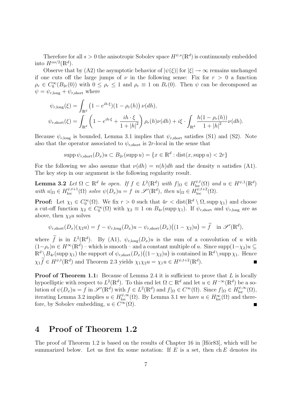Therefore for all  $s > 0$  the anisotropic Sobolev space  $H^{\psi,s}(\mathbb{R}^d)$  is continuously embedded into  $H^{\alpha s/2}(\mathbb{R}^d)$ .

Observe that by (A2) the asymptotic behavior of  $|\psi(\xi)|$  for  $|\xi| \to \infty$  remains unchanged if one cuts off the large jumps of  $\nu$  in the following sense: Fix for  $r > 0$  a function  $\rho_r \in C_0^{\infty}(B_{2r}(0))$  with  $0 \leq \rho_r \leq 1$  and  $\rho_r \equiv 1$  on  $B_r(0)$ . Then  $\psi$  can be decomposed as  $\psi = \psi_{r,\text{long}} + \psi_{r,\text{short}}$  where

$$
\psi_{r,\text{long}}(\xi) = \int_{\mathbb{R}^d} \left( 1 - e^{ih \cdot \xi} \right) (1 - \rho_r(h)) \nu(dh),
$$
  

$$
\psi_{r,\text{short}}(\xi) = \int_{\mathbb{R}^d} \left( 1 - e^{ih \cdot \xi} + \frac{ih \cdot \xi}{1 + |h|^2} \right) \rho_r(h) \nu(dh) + i\xi \cdot \int_{\mathbb{R}^d} \frac{h(1 - \rho_r(h))}{1 + |h|^2} \nu(dh).
$$

Because  $\psi_{r,\text{long}}$  is bounded, Lemma 3.1 implies that  $\psi_{r,\text{short}}$  satisfies (S1) and (S2). Note also that the operator associated to  $\psi_{r, \text{short}}$  is 2r-local in the sense that

$$
supp \psi_{r,\text{short}}(D_x)u \subset B_{2r}(\text{supp }u) = \{x \in \mathbb{R}^d : dist(x, supp u) < 2r\}
$$

For the following we also assume that  $\nu(dh) = n(h)dh$  and the density n satisfies (A1). The key step in our argument is the following regularity result.

**Lemma 3.2** Let  $\Omega \subset \mathbb{R}^d$  be open. If  $f \in L^2(\mathbb{R}^d)$  with  $f|_{\Omega} \in H_{\text{loc}}^{\psi,t}(\Omega)$  and  $u \in H^{\psi,1}(\mathbb{R}^d)$ with  $u|_{\Omega} \in H_{\text{loc}}^{\psi,t+1}(\Omega)$  solve  $\psi(D_x)u = f$  in  $\mathscr{S}'(\mathbb{R}^d)$ , then  $u|_{\Omega} \in H_{\text{loc}}^{\psi,t+2}(\Omega)$ .

**Proof:** Let  $\chi_1 \in C_0^{\infty}(\Omega)$ . We fix  $r > 0$  such that  $4r < \text{dist}(\mathbb{R}^d \setminus \Omega, \text{supp }\chi_1)$  and choose a cut-off function  $\chi_2 \in C_0^{\infty}(\Omega)$  with  $\chi_2 \equiv 1$  on  $B_{4r}(\text{supp }\chi_1)$ . If  $\psi_{r,\text{short}}$  and  $\psi_{r,\text{long}}$  are as above, then  $\chi_2 u$  solves

$$
\psi_{r,\text{short}}(D_x)(\chi_2 u) = f - \psi_{r,\text{long}}(D_x)u - \psi_{r,\text{short}}(D_x)\big((1-\chi_2)u\big) = \tilde{f} \quad \text{in } \mathscr{S}'(\mathbb{R}^d),
$$

where  $\tilde{f}$  is in  $L^2(\mathbb{R}^d)$ . By (A1),  $\psi_{r,\text{long}}(D_x)u$  is the sum of a convolution of u with  $(1-\rho_r)n \in H^\infty(\mathbb{R}^d)$  – which is smooth – and a constant multiple of u. Since supp $(1-\chi_2)u \subseteq$  $\mathbb{R}^d \setminus \overline{B}_{4r}(\text{supp }\chi_1)$  the support of  $\psi_{r,\text{short}}(D_x)((1-\chi_2)u)$  is contained in  $\mathbb{R}^d \setminus \text{supp }\chi_1$ . Hence  $\chi_1 \widetilde{f} \in H^{\psi,t}(\mathbb{R}^d)$  and Theorem 2.3 yields  $\chi_1 \chi_2 u = \chi_1 u \in H^{\psi,t+2}(\mathbb{R}^d)$ .

**Proof of Theorem 1.1:** Because of Lemma 2.4 it is sufficient to prove that L is locally hypoelliptic with respect to  $L^2(\mathbb{R}^d)$ . To this end let  $\Omega \subset \mathbb{R}^d$  and let  $u \in H^{-\infty}(\mathbb{R}^d)$  be a solution of  $\psi(D_x)u = f$  in  $\mathscr{S}'(\mathbb{R}^d)$  with  $f \in L^2(\mathbb{R}^d)$  and  $f|_{\Omega} \in C^{\infty}(\Omega)$ . Since  $f|_{\Omega} \in H_{\text{loc}}^{\psi,\infty}(\Omega)$ , iterating Lemma 3.2 implies  $u \in H_{loc}^{\psi,\infty}(\Omega)$ . By Lemma 3.1 we have  $u \in H_{loc}^{\infty}(\Omega)$  and therefore, by Sobolev embedding,  $u \in C^{\infty}(\Omega)$ .

### 4 Proof of Theorem 1.2

The proof of Theorem 1.2 is based on the results of Chapter 16 in  $[H\ddot{o}r83]$ , which will be summarized below. Let us first fix some notation: If  $E$  is a set, then ch  $E$  denotes its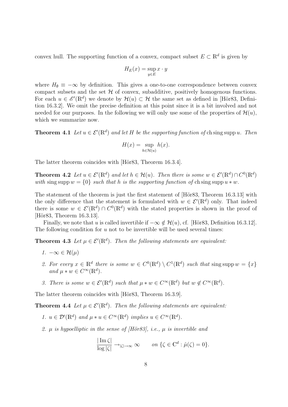convex hull. The supporting function of a convex, compact subset  $E \subset \mathbb{R}^d$  is given by

$$
H_E(x) = \sup_{y \in E} x \cdot y
$$

where  $H_{\emptyset} \equiv -\infty$  by definition. This gives a one-to-one correspondence between convex compact subsets and the set  $H$  of convex, subadditive, positively homogenous functions. For each  $u \in \mathscr{E}'(\mathbb{R}^d)$  we denote by  $\mathcal{H}(u) \subset \mathcal{H}$  the same set as defined in [Hör83, Definition 16.3.2]. We omit the precise definition at this point since it is a bit involved and not needed for our purposes. In the following we will only use some of the properties of  $\mathcal{H}(u)$ , which we summarize now.

**Theorem 4.1** Let  $u \in \mathcal{E}'(\mathbb{R}^d)$  and let H be the supporting function of chaing supp u. Then

$$
H(x) = \sup_{h \in \mathcal{H}(u)} h(x).
$$

The latter theorem coincides with [Hör83, Theorem 16.3.4].

**Theorem 4.2** Let  $u \in \mathcal{E}'(\mathbb{R}^d)$  and let  $h \in \mathcal{H}(u)$ . Then there is some  $w \in \mathcal{E}'(\mathbb{R}^d) \cap C^0(\mathbb{R}^d)$ with sing supp  $w = \{0\}$  such that h is the supporting function of chaing supp  $u * w$ .

The statement of the theorem is just the first statement of [Hör83, Theorem 16.3.13] with the only difference that the statement is formulated with  $w \in \mathcal{E}'(\mathbb{R}^d)$  only. That indeed there is some  $w \in \mathcal{E}'(\mathbb{R}^d) \cap C^0(\mathbb{R}^d)$  with the stated properties is shown in the proof of [Hör83, Theorem 16.3.13].

Finally, we note that u is called invertible if  $-\infty \notin \mathcal{H}(u)$ , cf. [Hör83, Definition 16.3.12]. The following condition for  $u$  not to be invertible will be used several times:

**Theorem 4.3** Let  $\mu \in \mathcal{E}'(\mathbb{R}^d)$ . Then the following statements are equivalent:

- 1.  $-\infty \in \mathcal{H}(\mu)$
- 2. For every  $x \in \mathbb{R}^d$  there is some  $w \in C^0(\mathbb{R}^d) \setminus C^1(\mathbb{R}^d)$  such that sing supp  $w = \{x\}$ and  $\mu * w \in C^{\infty}(\mathbb{R}^d)$ .
- 3. There is some  $w \in \mathcal{E}'(\mathbb{R}^d)$  such that  $\mu * w \in C^\infty(\mathbb{R}^d)$  but  $w \notin C^\infty(\mathbb{R}^d)$ .

The latter theorem coincides with [Hör83, Theorem 16.3.9].

**Theorem 4.4** Let  $\mu \in \mathcal{E}'(\mathbb{R}^d)$ . Then the following statements are equivalent:

- 1.  $u \in \mathcal{D}'(\mathbb{R}^d)$  and  $\mu * u \in C^\infty(\mathbb{R}^d)$  implies  $u \in C^\infty(\mathbb{R}^d)$ .
- 2.  $\mu$  is hypoelliptic in the sense of *[H*ör83*]*, i.e.,  $\mu$  is invertible and

$$
\frac{|\operatorname{Im}\zeta|}{\log|\zeta|} \to_{|\zeta| \to \infty} \infty \qquad on \ \{\zeta \in \mathbb{C}^d : \hat{\mu}(\zeta) = 0\}.
$$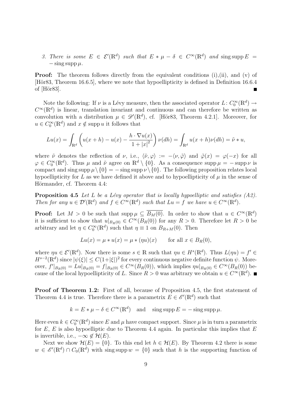3. There is some  $E \in \mathcal{E}'(\mathbb{R}^d)$  such that  $E * \mu - \delta \in C^\infty(\mathbb{R}^d)$  and sing supp  $E =$  $-\sin g \sup p \mu$ .

**Proof:** The theorem follows directly from the equivalent conditions (i),(ii), and (v) of [Hör83, Theorem 16.6.5], where we note that hypoellipticity is defined in Definition 16.6.4 of  $[H\ddot{o}r83]$ .

Note the following: If  $\nu$  is a Lévy measure, then the associated operator  $L: C_0^{\infty}(\mathbb{R}^d) \to$  $C^{\infty}(\mathbb{R}^d)$  is linear, translation invariant and continuous and can therefore be written as convolution with a distribution  $\mu \in \mathscr{D}'(\mathbb{R}^d)$ , cf. [Hör83, Theorem 4.2.1]. Moreover, for  $u \in C_0^{\infty}(\mathbb{R}^d)$  and  $x \notin \text{supp } u$  it follows that

$$
Lu(x) = \int_{\mathbb{R}^d} \left( u(x+h) - u(x) - \frac{h \cdot \nabla u(x)}{1 + |x|^2} \right) \nu(dh) = \int_{\mathbb{R}^d} u(x+h)\nu(dh) = \tilde{\nu} * u,
$$

where  $\tilde{\nu}$  denotes the reflection of  $\nu$ , i.e.,  $\langle \tilde{\nu}, \varphi \rangle := -\langle \nu, \tilde{\varphi} \rangle$  and  $\tilde{\varphi}(x) = \varphi(-x)$  for all  $\varphi \in C_0^{\infty}(\mathbb{R}^d)$ . Thus  $\mu$  and  $\tilde{\nu}$  agree on  $\mathbb{R}^d \setminus \{0\}$ . As a consequence supp  $\mu = -\sup p \nu$  is compact and sing supp  $\mu \setminus \{0\} = -\sin g \sup p \nu \setminus \{0\}$ . The following proposition relates local hypoellipticity for L as we have defined it above and to hypoellipticity of  $\mu$  in the sense of Hörmander, cf. Theorem 4.4:

**Proposition 4.5** Let L be a Lévy operator that is locally hypoelliptic and satisfies  $(A2)$ . Then for any  $u \in \mathcal{D}'(\mathbb{R}^d)$  and  $f \in C^{\infty}(\mathbb{R}^d)$  such that  $Lu = f$  we have  $u \in C^{\infty}(\mathbb{R}^d)$ .

**Proof:** Let  $M > 0$  be such that supp  $\mu \subseteq \overline{B_M(0)}$ . In order to show that  $u \in C^{\infty}(\mathbb{R}^d)$ it is sufficient to show that  $u|_{B_R(0)} \in C^{\infty}(B_R(0))$  for any  $R > 0$ . Therefore let  $R > 0$  be arbitrary and let  $\eta \in C_0^{\infty}(\mathbb{R}^d)$  such that  $\eta \equiv 1$  on  $B_{R+M}(0)$ . Then

$$
Lu(x) = \mu * u(x) = \mu * (\eta u)(x) \quad \text{for all } x \in B_R(0),
$$

where  $\eta u \in \mathcal{E}'(\mathbb{R}^d)$ . Now there is some  $s \in \mathbb{R}$  such that  $\eta u \in H^s(\mathbb{R}^d)$ . Thus  $L(\eta u) = f' \in$  $H^{s-2}(\mathbb{R}^d)$  since  $|\psi(\xi)| \leq C(1+|\xi|)^2$  for every continuous negative definite function  $\psi$ . Moreover,  $f'|_{B_R(0)} = Lu|_{B_R(0)} = f|_{B_R(0)} \in C^{\infty}(B_R(0))$ , which implies  $\eta u|_{B_R(0)} \in C^{\infty}(B_R(0))$  because of the local hypoellipticity of L. Since  $R > 0$  was arbitrary we obtain  $u \in C^{\infty}(\mathbb{R}^d)$ .

Proof of Theorem 1.2: First of all, because of Proposition 4.5, the first statement of Theorem 4.4 is true. Therefore there is a parametrix  $E \in \mathscr{E}'(\mathbb{R}^d)$  such that

$$
k = E * \mu - \delta \in C^{\infty}(\mathbb{R}^d)
$$
 and  $\text{sing supp } E = -\text{sing supp } \mu$ .

Here even  $k \in C_0^{\infty}(\mathbb{R}^d)$  since E and  $\mu$  have compact support. Since  $\mu$  is in turn a parametrix for  $E, E$  is also hypoelliptic due to Theorem 4.4 again. In particular this implies that  $E$ is invertible, i.e.,  $-\infty \notin \mathcal{H}(E)$ .

Next we show  $\mathcal{H}(E) = \{0\}$ . To this end let  $h \in \mathcal{H}(E)$ . By Theorem 4.2 there is some  $w \in \mathscr{E}'(\mathbb{R}^d) \cap C_0(\mathbb{R}^d)$  with sing supp  $w = \{0\}$  such that h is the supporting function of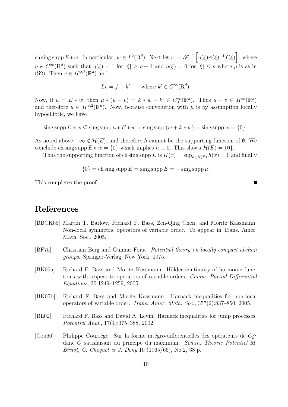ch sing supp  $E * w$ . In particular,  $w \in L^2(\mathbb{R}^d)$ . Next let  $v := \mathscr{F}^{-1} \left[ \eta(\xi) \psi(\xi)^{-1} \hat{f}(\xi) \right]$ , where  $\eta \in C^{\infty}(\mathbb{R}^d)$  such that  $\eta(\xi) = 1$  for  $|\xi| \ge \rho + 1$  and  $\eta(\xi) = 0$  for  $|\xi| \le \rho$  where  $\rho$  is as in (S2). Then  $v \in H^{\psi,2}(\mathbb{R}^d)$  and

 $Lv = f + k'$  where  $k' \in C^{\infty}(\mathbb{R}^d)$ .

Now, if  $u = E * w$ , then  $\mu * (u - v) = k * w - k' \in C_0^{\infty}(\mathbb{R}^d)$ . Thus  $u - v \in H^{\infty}(\mathbb{R}^d)$ and therefore  $u \in H^{\psi,2}(\mathbb{R}^d)$ . Now, because convolution with  $\mu$  is by assumption locally hypoelliptic, we have

sing supp  $E * w \subseteq \text{sing supp } \mu * E * w = \text{sing supp}(w + k * w) = \text{sing supp } w = \{0\}.$ 

As noted above  $-\infty \notin \mathcal{H}(E)$ , and therefore h cannot be the supporting function of  $\emptyset$ . We conclude ch sing supp  $E * w = \{0\}$  which implies  $h \equiv 0$ . This shows  $\mathcal{H}(E) = \{0\}.$ 

Thus the supporting function of ch sing supp E is  $H(x) = \sup_{h \in \mathcal{H}(E)} h(x) = 0$  and finally

 ${0} = ch \operatorname{sing} \operatorname{supp} E = \operatorname{sing} \operatorname{supp} E = -\operatorname{sing} \operatorname{supp} \mu.$ 

This completes the proof.

#### References

- [BBCK05] Martin T. Barlow, Richard F. Bass, Zen-Qing Chen, and Moritz Kassmann. Non-local symmetric operators of variable order. To appear in Trans. Amer. Math. Soc., 2005.
- [BF75] Christian Berg and Gunnar Forst. Potential theory on locally compact abelian groups. Springer-Verlag, New York, 1975.
- [BK05a] Richard F. Bass and Moritz Kassmann. Hölder continuity of harmonic functions with respect to operators of variable orders. Comm. Partial Differential Equations, 30:1249–1259, 2005.
- [BK05b] Richard F. Bass and Moritz Kassmann. Harnack inequalities for non-local operators of variable order. Trans. Amer. Math. Soc., 357(2):837–850, 2005.
- [BL02] Richard F. Bass and David A. Levin. Harnack inequalities for jump processes. Potential Anal., 17(4):375–388, 2002.
- [Cou66] Philippe Courrège. Sur la forme intégro-differentielles des opérateurs de  $C^\infty_k$ danc C satisfaisant au principe du maximum. Semin. Theorie Potentiel M. Brelot, C. Choquet et J. Deny 10 (1965/66), No.2, 38 p.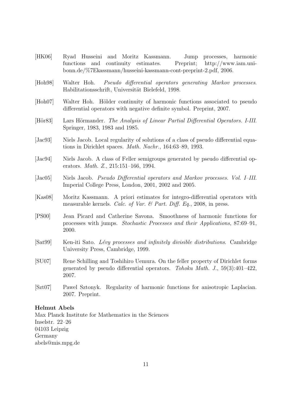- [HK06] Ryad Husseini and Moritz Kassmann. Jump processes, harmonic functions and continuity estimates. Preprint; http://www.iam.unibonn.de/%7Ekassmann/husseini-kassmann-cont-preprint-2.pdf, 2006.
- [Hoh98] Walter Hoh. Pseudo differential operators generating Markov processes. Habilitationsschrift, Universität Bielefeld, 1998.
- [Hoh07] Walter Hoh. Hölder continuity of harmonic functions associated to pseudo differential operators with negative definite symbol. Preprint, 2007.
- [Hör83] Lars Hörmander. The Analysis of Linear Partial Differential Operators. I-III. Springer, 1983, 1983 and 1985.
- [Jac93] Niels Jacob. Local regularity of solutions of a class of pseudo differential equations in Dirichlet spaces. Math. Nachr., 164:63–89, 1993.
- [Jac94] Niels Jacob. A class of Feller semigroups generated by pseudo differential operators. Math. Z., 215:151–166, 1994.
- [Jac05] Niels Jacob. Pseudo Differential operators and Markov processes. Vol. I–III. Imperial College Press, London, 2001, 2002 and 2005.
- [Kas08] Moritz Kassmann. A priori estimates for integro-differential operators with measurable kernels. Calc. of Var. & Part. Diff. Eq., 2008, in press.
- [PS00] Jean Picard and Catherine Savona. Smoothness of harmonic functions for processes with jumps. Stochastic Processes and their Applications, 87:69–91, 2000.
- [Sat99] Ken-iti Sato. Lévy processes and infinitely divisible distributions. Cambridge University Press, Cambridge, 1999.
- [SU07] Rene Schilling and Toshihiro Uemura. On the feller property of Dirichlet forms generated by pseudo differential operators. Tohoku Math. J., 59(3):401–422, 2007.
- [Szt07] Pawel Sztonyk. Regularity of harmonic functions for anisotropic Laplacian. 2007. Preprint.

#### Helmut Abels

Max Planck Institute for Mathematics in the Sciences Inselstr. 22–26 04103 Leipzig Germany abels@mis.mpg.de